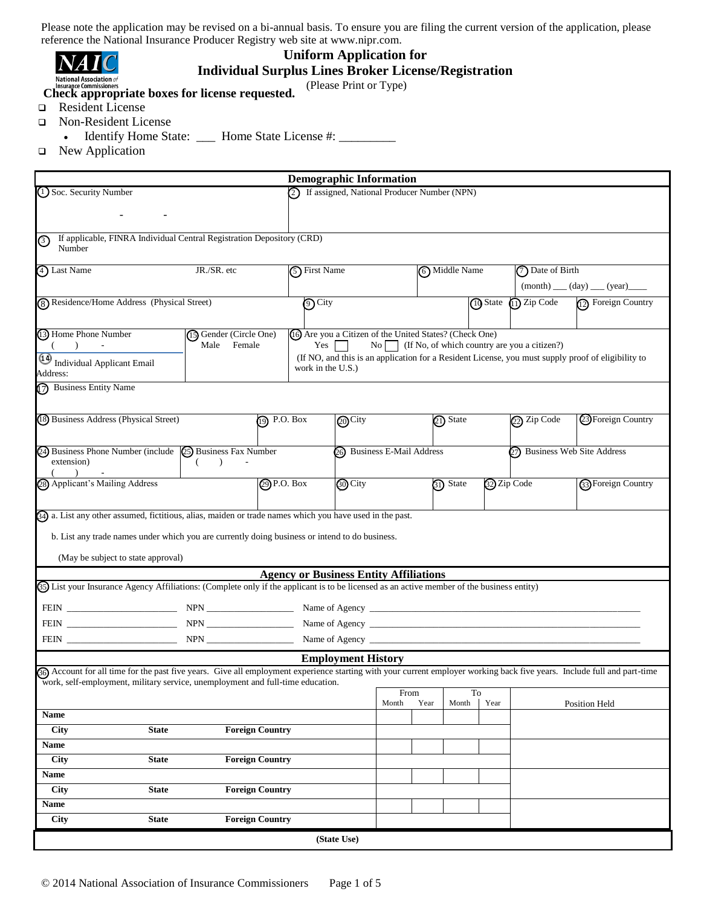| <b>National Association</b> of |  |
|--------------------------------|--|

# **Uniform Application for**

**Individual Surplus Lines Broker License/Registration**

(Please Print or Type)

**Check appropriate boxes for license requested.** 

- Resident License
- Non-Resident License
	- Identify Home State: \_\_\_ Home State License #: \_\_\_\_\_\_\_\_
- □ New Application

|                                                                                                                                                                         | <b>Demographic Information</b>                                  |                             |      |               |             |                                                |                                                                                                    |  |  |
|-------------------------------------------------------------------------------------------------------------------------------------------------------------------------|-----------------------------------------------------------------|-----------------------------|------|---------------|-------------|------------------------------------------------|----------------------------------------------------------------------------------------------------|--|--|
| (1) Soc. Security Number                                                                                                                                                | 2) If assigned, National Producer Number (NPN)                  |                             |      |               |             |                                                |                                                                                                    |  |  |
|                                                                                                                                                                         |                                                                 |                             |      |               |             |                                                |                                                                                                    |  |  |
| If applicable, FINRA Individual Central Registration Depository (CRD)<br>③                                                                                              |                                                                 |                             |      |               |             |                                                |                                                                                                    |  |  |
| Number                                                                                                                                                                  |                                                                 |                             |      |               |             |                                                |                                                                                                    |  |  |
| 4) Last Name<br>JR./SR. etc                                                                                                                                             | 5) First Name                                                   |                             |      | 6 Middle Name |             | (7) Date of Birth                              |                                                                                                    |  |  |
|                                                                                                                                                                         |                                                                 |                             |      |               |             | $(month)$ (day) (year)                         |                                                                                                    |  |  |
| 8) Residence/Home Address (Physical Street)                                                                                                                             | <b>O</b> City                                                   |                             |      |               |             | $\overline{10}$ State $\overline{11}$ Zip Code | 12 Foreign Country                                                                                 |  |  |
| 13 Home Phone Number<br>(15) Gender (Circle One)<br>Male Female<br>$($ ) $-$                                                                                            | (16) Are you a Citizen of the United States? (Check One)<br>Yes | $\overline{N_0}$            |      |               |             | (If No, of which country are you a citizen?)   |                                                                                                    |  |  |
|                                                                                                                                                                         |                                                                 |                             |      |               |             |                                                | (If NO, and this is an application for a Resident License, you must supply proof of eligibility to |  |  |
| Individual Applicant Email<br>Address:                                                                                                                                  | work in the U.S.)                                               |                             |      |               |             |                                                |                                                                                                    |  |  |
| 7) Business Entity Name                                                                                                                                                 |                                                                 |                             |      |               |             |                                                |                                                                                                    |  |  |
|                                                                                                                                                                         |                                                                 |                             |      |               |             |                                                |                                                                                                    |  |  |
| (18) Business Address (Physical Street)<br>$\eta$ P.O. Box                                                                                                              | 20 City                                                         |                             |      | $(21)$ State  |             | $\overline{22}$ Zip Code                       | 23) Foreign Country                                                                                |  |  |
|                                                                                                                                                                         |                                                                 |                             |      |               |             |                                                |                                                                                                    |  |  |
| 24) Business Phone Number (include (25) Business Fax Number<br>extension)<br>$($ $)$                                                                                    |                                                                 | 26) Business E-Mail Address |      |               |             |                                                | (27) Business Web Site Address                                                                     |  |  |
| 28) Applicant's Mailing Address<br>$\mathcal{D}$ P.O. Box                                                                                                               | <b>60</b> City                                                  |                             |      | 31) State     | 32 Zip Code |                                                | <b>33</b> Foreign Country                                                                          |  |  |
| 34) a. List any other assumed, fictitious, alias, maiden or trade names which you have used in the past.                                                                |                                                                 |                             |      |               |             |                                                |                                                                                                    |  |  |
| b. List any trade names under which you are currently doing business or intend to do business.                                                                          |                                                                 |                             |      |               |             |                                                |                                                                                                    |  |  |
|                                                                                                                                                                         |                                                                 |                             |      |               |             |                                                |                                                                                                    |  |  |
| (May be subject to state approval)                                                                                                                                      |                                                                 |                             |      |               |             |                                                |                                                                                                    |  |  |
| (5) List your Insurance Agency Affiliations: (Complete only if the applicant is to be licensed as an active member of the business entity)                              | <b>Agency or Business Entity Affiliations</b>                   |                             |      |               |             |                                                |                                                                                                    |  |  |
|                                                                                                                                                                         |                                                                 |                             |      |               |             |                                                |                                                                                                    |  |  |
|                                                                                                                                                                         |                                                                 |                             |      |               |             |                                                |                                                                                                    |  |  |
|                                                                                                                                                                         |                                                                 |                             |      |               |             |                                                |                                                                                                    |  |  |
|                                                                                                                                                                         | <b>Employment History</b>                                       |                             |      |               |             |                                                |                                                                                                    |  |  |
| Go Account for all time for the past five years. Give all employment experience starting with your current employer working back five years. Include full and part-time |                                                                 |                             |      |               |             |                                                |                                                                                                    |  |  |
| work, self-employment, military service, unemployment and full-time education.                                                                                          |                                                                 | From                        |      | To            |             |                                                |                                                                                                    |  |  |
|                                                                                                                                                                         |                                                                 | Month                       | Year | Month         | Year        |                                                | Position Held                                                                                      |  |  |
| <b>Name</b>                                                                                                                                                             |                                                                 |                             |      |               |             |                                                |                                                                                                    |  |  |
| <b>Foreign Country</b><br>City<br><b>State</b><br>Name                                                                                                                  |                                                                 |                             |      |               |             |                                                |                                                                                                    |  |  |
| City<br><b>State</b><br><b>Foreign Country</b>                                                                                                                          |                                                                 |                             |      |               |             |                                                |                                                                                                    |  |  |
| Name                                                                                                                                                                    |                                                                 |                             |      |               |             |                                                |                                                                                                    |  |  |
| City<br><b>State</b><br><b>Foreign Country</b>                                                                                                                          |                                                                 |                             |      |               |             |                                                |                                                                                                    |  |  |
| Name                                                                                                                                                                    |                                                                 |                             |      |               |             |                                                |                                                                                                    |  |  |
| <b>Foreign Country</b><br><b>City</b><br><b>State</b>                                                                                                                   |                                                                 |                             |      |               |             |                                                |                                                                                                    |  |  |
|                                                                                                                                                                         | (State Use)                                                     |                             |      |               |             |                                                |                                                                                                    |  |  |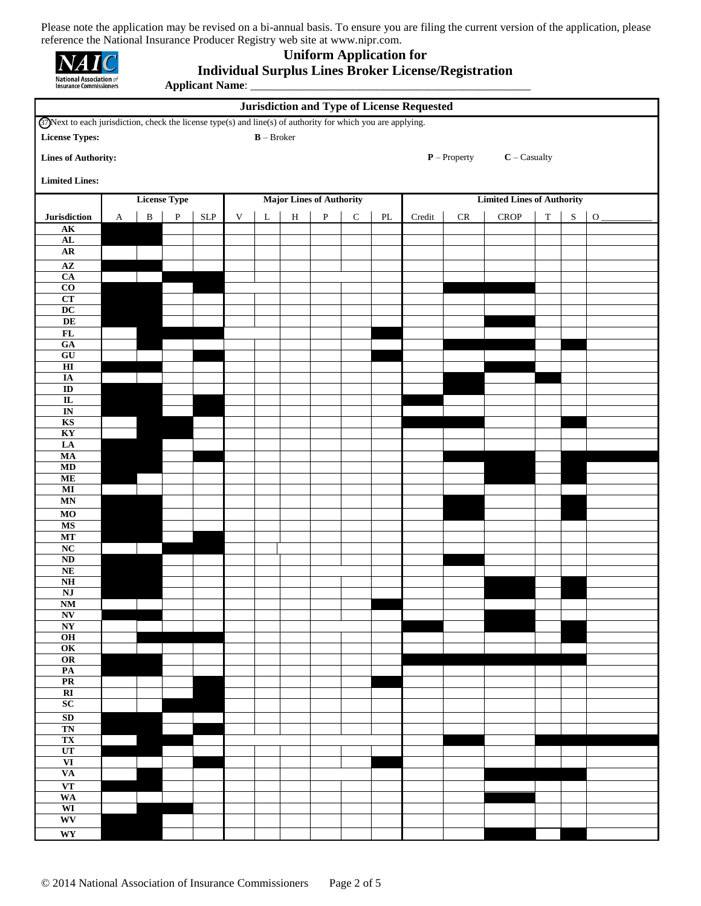| <b>National Association of</b><br><b>Insurance Commissioners</b> |  |
|------------------------------------------------------------------|--|

#### **Uniform Application for**

**Applicant Name**: \_\_\_\_\_\_\_\_\_\_\_\_\_\_\_\_\_\_\_\_\_\_\_\_\_\_\_\_\_\_\_\_\_\_\_\_\_\_\_\_\_\_\_\_\_\_\_\_\_

## **Individual Surplus Lines Broker License/Registration**

| <b>Jurisdiction and Type of License Requested</b>                                                                                                            |              |                                                        |              |             |             |             |              |              |             |               |                                   |            |                                |             |   |              |
|--------------------------------------------------------------------------------------------------------------------------------------------------------------|--------------|--------------------------------------------------------|--------------|-------------|-------------|-------------|--------------|--------------|-------------|---------------|-----------------------------------|------------|--------------------------------|-------------|---|--------------|
| <b>@</b> Next to each jurisdiction, check the license type(s) and line(s) of authority for which you are applying.<br>$B - B$ roker<br><b>License Types:</b> |              |                                                        |              |             |             |             |              |              |             |               |                                   |            |                                |             |   |              |
| <b>Lines of Authority:</b>                                                                                                                                   |              |                                                        |              |             |             |             |              |              |             |               |                                   |            | $P$ - Property $C$ - Casualty  |             |   |              |
| <b>Limited Lines:</b>                                                                                                                                        |              |                                                        |              |             |             |             |              |              |             |               |                                   |            |                                |             |   |              |
|                                                                                                                                                              |              | <b>License Type</b><br><b>Major Lines of Authority</b> |              |             |             |             |              |              |             |               | <b>Limited Lines of Authority</b> |            |                                |             |   |              |
| Jurisdiction                                                                                                                                                 | $\mathbf{A}$ | $\, {\bf B}$                                           | $\mathbf{P}$ | ${\rm SLP}$ | $\mathbf V$ | $\mathbf L$ | $\, {\rm H}$ | $\, {\bf P}$ | $\mathbf C$ | $\mathbf{PL}$ | Credit                            | ${\sf CR}$ | ${\bf C}{\bf R}{\bf O}{\bf P}$ | $\mathbf T$ | S | $\mathbf{O}$ |
| $\overline{\mathbf{AK}}$                                                                                                                                     |              |                                                        |              |             |             |             |              |              |             |               |                                   |            |                                |             |   |              |
| AL<br>AR                                                                                                                                                     |              |                                                        |              |             |             |             |              |              |             |               |                                   |            |                                |             |   |              |
| $\mathbf{A}\mathbf{Z}$                                                                                                                                       |              |                                                        |              |             |             |             |              |              |             |               |                                   |            |                                |             |   |              |
| $\overline{CA}$<br>$\overline{c}$                                                                                                                            |              |                                                        |              |             |             |             |              |              |             |               |                                   |            |                                |             |   |              |
| CT                                                                                                                                                           |              |                                                        |              |             |             |             |              |              |             |               |                                   |            |                                |             |   |              |
| $\overline{DC}$                                                                                                                                              |              |                                                        |              |             |             |             |              |              |             |               |                                   |            |                                |             |   |              |
| DE<br>$\mathbf{FL}$                                                                                                                                          |              |                                                        |              |             |             |             |              |              |             |               |                                   |            |                                |             |   |              |
| GA                                                                                                                                                           |              |                                                        |              |             |             |             |              |              |             |               |                                   |            |                                |             |   |              |
| ${\bf G}{\bf U}$<br>$\overline{H}$                                                                                                                           |              |                                                        |              |             |             |             |              |              |             |               |                                   |            |                                |             |   |              |
| $I\!\!A$                                                                                                                                                     |              |                                                        |              |             |             |             |              |              |             |               |                                   |            |                                |             |   |              |
| $\overline{\text{ID}}$                                                                                                                                       |              |                                                        |              |             |             |             |              |              |             |               |                                   |            |                                |             |   |              |
| $\overline{\mathbf{L}}$<br>$\overline{\text{IN}}$                                                                                                            |              |                                                        |              |             |             |             |              |              |             |               |                                   |            |                                |             |   |              |
| KS                                                                                                                                                           |              |                                                        |              |             |             |             |              |              |             |               |                                   |            |                                |             |   |              |
| KY<br>LA                                                                                                                                                     |              |                                                        |              |             |             |             |              |              |             |               |                                   |            |                                |             |   |              |
| MA                                                                                                                                                           |              |                                                        |              |             |             |             |              |              |             |               |                                   |            |                                |             |   |              |
| MD                                                                                                                                                           |              |                                                        |              |             |             |             |              |              |             |               |                                   |            |                                |             |   |              |
| <b>ME</b><br>$\overline{\bf MI}$                                                                                                                             |              |                                                        |              |             |             |             |              |              |             |               |                                   |            |                                |             |   |              |
| MN                                                                                                                                                           |              |                                                        |              |             |             |             |              |              |             |               |                                   |            |                                |             |   |              |
| $\overline{MO}$                                                                                                                                              |              |                                                        |              |             |             |             |              |              |             |               |                                   |            |                                |             |   |              |
| <b>MS</b><br>MT                                                                                                                                              |              |                                                        |              |             |             |             |              |              |             |               |                                   |            |                                |             |   |              |
| NC                                                                                                                                                           |              |                                                        |              |             |             |             |              |              |             |               |                                   |            |                                |             |   |              |
| $\overline{\bf ND}$                                                                                                                                          |              |                                                        |              |             |             |             |              |              |             |               |                                   |            |                                |             |   |              |
| NE<br>N <sub>H</sub>                                                                                                                                         |              |                                                        |              |             |             |             |              |              |             |               |                                   |            |                                |             |   |              |
| $\mathbf{N}\mathbf{J}$                                                                                                                                       |              |                                                        |              |             |             |             |              |              |             |               |                                   |            |                                |             |   |              |
| $\overline{\text{NM}}$<br>N                                                                                                                                  |              |                                                        |              |             |             |             |              |              |             |               |                                   |            |                                |             |   |              |
| NY                                                                                                                                                           |              |                                                        |              |             |             |             |              |              |             |               |                                   |            |                                |             |   |              |
| O <sub>H</sub>                                                                                                                                               |              |                                                        |              |             |             |             |              |              |             |               |                                   |            |                                |             |   |              |
| OK<br>OR                                                                                                                                                     |              |                                                        |              |             |             |             |              |              |             |               |                                   |            |                                |             |   |              |
| $\overline{\text{PA}}$                                                                                                                                       |              |                                                        |              |             |             |             |              |              |             |               |                                   |            |                                |             |   |              |
| PR<br>RI                                                                                                                                                     |              |                                                        |              |             |             |             |              |              |             |               |                                   |            |                                |             |   |              |
| SC                                                                                                                                                           |              |                                                        |              |             |             |             |              |              |             |               |                                   |            |                                |             |   |              |
| SD                                                                                                                                                           |              |                                                        |              |             |             |             |              |              |             |               |                                   |            |                                |             |   |              |
| TN<br>TX                                                                                                                                                     |              |                                                        |              |             |             |             |              |              |             |               |                                   |            |                                |             |   |              |
| UT                                                                                                                                                           |              |                                                        |              |             |             |             |              |              |             |               |                                   |            |                                |             |   |              |
| VI                                                                                                                                                           |              |                                                        |              |             |             |             |              |              |             |               |                                   |            |                                |             |   |              |
| <b>VA</b><br>$\overline{\mathbf{VT}}$                                                                                                                        |              |                                                        |              |             |             |             |              |              |             |               |                                   |            |                                |             |   |              |
| <b>WA</b>                                                                                                                                                    |              |                                                        |              |             |             |             |              |              |             |               |                                   |            |                                |             |   |              |
| WI                                                                                                                                                           |              |                                                        |              |             |             |             |              |              |             |               |                                   |            |                                |             |   |              |
| WV                                                                                                                                                           |              |                                                        |              |             |             |             |              |              |             |               |                                   |            |                                |             |   |              |
| WY                                                                                                                                                           |              |                                                        |              |             |             |             |              |              |             |               |                                   |            |                                |             |   |              |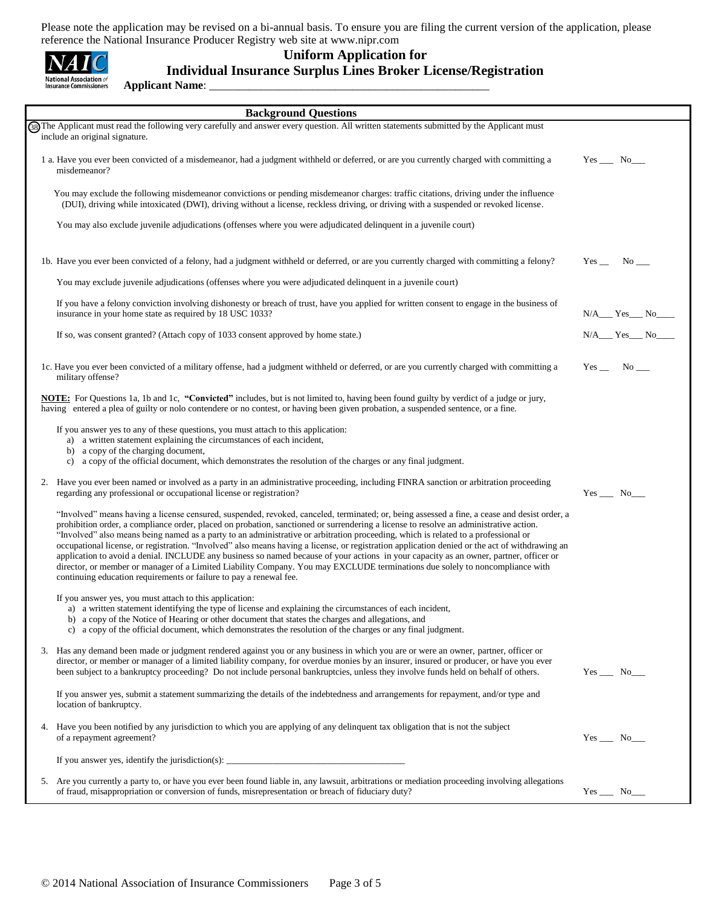| <b>National Association</b> of<br>Insurance Commissioners |
|-----------------------------------------------------------|

#### **Uniform Application for**

## **Individual Insurance Surplus Lines Broker License/Registration**

**Applicant Name**: \_\_\_\_\_\_\_\_\_\_\_\_\_\_\_\_\_\_\_\_\_\_\_\_\_\_\_\_\_\_\_\_\_\_\_\_\_\_\_\_\_\_\_\_\_\_\_\_\_

|    | <b>Background Questions</b>                                                                                                                                                                                                                                                                                                                                                                                                                                                                                                                                                                                                                                                                                                                                                                                                                                                                                                   |                                     |
|----|-------------------------------------------------------------------------------------------------------------------------------------------------------------------------------------------------------------------------------------------------------------------------------------------------------------------------------------------------------------------------------------------------------------------------------------------------------------------------------------------------------------------------------------------------------------------------------------------------------------------------------------------------------------------------------------------------------------------------------------------------------------------------------------------------------------------------------------------------------------------------------------------------------------------------------|-------------------------------------|
|    | (3) The Applicant must read the following very carefully and answer every question. All written statements submitted by the Applicant must<br>include an original signature.                                                                                                                                                                                                                                                                                                                                                                                                                                                                                                                                                                                                                                                                                                                                                  |                                     |
|    | 1 a. Have you ever been convicted of a misdemeanor, had a judgment withheld or deferred, or are you currently charged with committing a<br>misdemeanor?                                                                                                                                                                                                                                                                                                                                                                                                                                                                                                                                                                                                                                                                                                                                                                       | $Yes$ No $\_\_$                     |
|    | You may exclude the following misdemeanor convictions or pending misdemeanor charges: traffic citations, driving under the influence<br>(DUI), driving while intoxicated (DWI), driving without a license, reckless driving, or driving with a suspended or revoked license.                                                                                                                                                                                                                                                                                                                                                                                                                                                                                                                                                                                                                                                  |                                     |
|    | You may also exclude juvenile adjudications (offenses where you were adjudicated delinquent in a juvenile court)                                                                                                                                                                                                                                                                                                                                                                                                                                                                                                                                                                                                                                                                                                                                                                                                              |                                     |
|    | 1b. Have you ever been convicted of a felony, had a judgment withheld or deferred, or are you currently charged with committing a felony?                                                                                                                                                                                                                                                                                                                                                                                                                                                                                                                                                                                                                                                                                                                                                                                     | $Yes$ No _____                      |
|    | You may exclude juvenile adjudications (offenses where you were adjudicated delinquent in a juvenile court)                                                                                                                                                                                                                                                                                                                                                                                                                                                                                                                                                                                                                                                                                                                                                                                                                   |                                     |
|    | If you have a felony conviction involving dishonesty or breach of trust, have you applied for written consent to engage in the business of<br>insurance in your home state as required by 18 USC 1033?                                                                                                                                                                                                                                                                                                                                                                                                                                                                                                                                                                                                                                                                                                                        | $N/A$ <sub>___</sub> Yes___ No_____ |
|    | If so, was consent granted? (Attach copy of 1033 consent approved by home state.)                                                                                                                                                                                                                                                                                                                                                                                                                                                                                                                                                                                                                                                                                                                                                                                                                                             | $N/A$ $Yes$ $No$ $No$               |
|    | 1c. Have you ever been convicted of a military offense, had a judgment withheld or deferred, or are you currently charged with committing a<br>military offense?                                                                                                                                                                                                                                                                                                                                                                                                                                                                                                                                                                                                                                                                                                                                                              | $Yes$ No _____                      |
|    | NOTE: For Questions 1a, 1b and 1c, "Convicted" includes, but is not limited to, having been found guilty by verdict of a judge or jury,<br>having entered a plea of guilty or nolo contendere or no contest, or having been given probation, a suspended sentence, or a fine.                                                                                                                                                                                                                                                                                                                                                                                                                                                                                                                                                                                                                                                 |                                     |
|    | If you answer yes to any of these questions, you must attach to this application:<br>a) a written statement explaining the circumstances of each incident,<br>b) a copy of the charging document,<br>a copy of the official document, which demonstrates the resolution of the charges or any final judgment.<br>c)                                                                                                                                                                                                                                                                                                                                                                                                                                                                                                                                                                                                           |                                     |
| 2. | Have you ever been named or involved as a party in an administrative proceeding, including FINRA sanction or arbitration proceeding<br>regarding any professional or occupational license or registration?                                                                                                                                                                                                                                                                                                                                                                                                                                                                                                                                                                                                                                                                                                                    | $Yes$ No______                      |
|    | "Involved" means having a license censured, suspended, revoked, canceled, terminated; or, being assessed a fine, a cease and desist order, a<br>prohibition order, a compliance order, placed on probation, sanctioned or surrendering a license to resolve an administrative action.<br>"Involved" also means being named as a party to an administrative or arbitration proceeding, which is related to a professional or<br>occupational license, or registration. "Involved" also means having a license, or registration application denied or the act of withdrawing an<br>application to avoid a denial. INCLUDE any business so named because of your actions in your capacity as an owner, partner, officer or<br>director, or member or manager of a Limited Liability Company. You may EXCLUDE terminations due solely to noncompliance with<br>continuing education requirements or failure to pay a renewal fee. |                                     |
|    | If you answer yes, you must attach to this application:<br>a) a written statement identifying the type of license and explaining the circumstances of each incident,<br>b) a copy of the Notice of Hearing or other document that states the charges and allegations, and<br>c) a copy of the official document, which demonstrates the resolution of the charges or any final judgment.                                                                                                                                                                                                                                                                                                                                                                                                                                                                                                                                      |                                     |
|    | 3. Has any demand been made or judgment rendered against you or any business in which you are or were an owner, partner, officer or<br>director, or member or manager of a limited liability company, for overdue monies by an insurer, insured or producer, or have you ever<br>been subject to a bankruptcy proceeding? Do not include personal bankruptcies, unless they involve funds held on behalf of others.                                                                                                                                                                                                                                                                                                                                                                                                                                                                                                           | $Yes$ No_____                       |
|    | If you answer yes, submit a statement summarizing the details of the indebtedness and arrangements for repayment, and/or type and<br>location of bankruptcy.                                                                                                                                                                                                                                                                                                                                                                                                                                                                                                                                                                                                                                                                                                                                                                  |                                     |
|    | 4. Have you been notified by any jurisdiction to which you are applying of any delinquent tax obligation that is not the subject<br>of a repayment agreement?                                                                                                                                                                                                                                                                                                                                                                                                                                                                                                                                                                                                                                                                                                                                                                 | $Yes \_\_\_ No \_\_\_$              |
|    | If you answer yes, identify the jurisdiction(s): ________________________________                                                                                                                                                                                                                                                                                                                                                                                                                                                                                                                                                                                                                                                                                                                                                                                                                                             |                                     |
|    | 5. Are you currently a party to, or have you ever been found liable in, any lawsuit, arbitrations or mediation proceeding involving allegations<br>of fraud, misappropriation or conversion of funds, misrepresentation or breach of fiduciary duty?                                                                                                                                                                                                                                                                                                                                                                                                                                                                                                                                                                                                                                                                          | $Yes$ No______                      |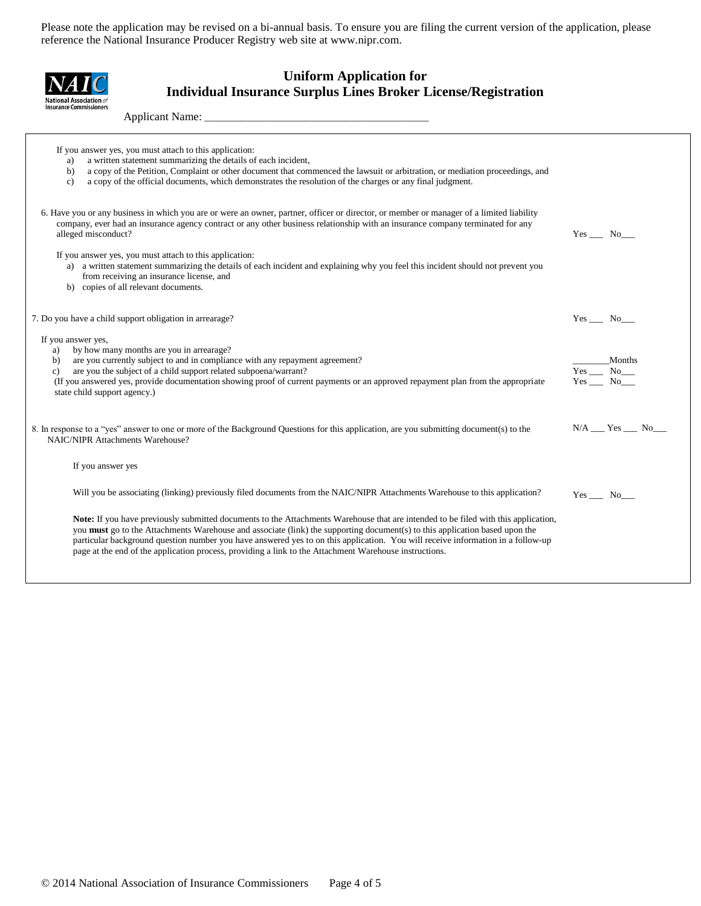#### **Uniform Application for Individual Insurance Surplus Lines Broker License/Registration**

Applicant Name:

 $\overline{\mathcal{A}}$ **National Association of**<br>Insurance Commissioners

| If you answer yes, you must attach to this application:<br>a written statement summarizing the details of each incident,<br>a)<br>a copy of the Petition, Complaint or other document that commenced the lawsuit or arbitration, or mediation proceedings, and<br>b)<br>a copy of the official documents, which demonstrates the resolution of the charges or any final judgment.<br>$\mathbf{c}$                                                                                                                                                                                    |                                             |
|--------------------------------------------------------------------------------------------------------------------------------------------------------------------------------------------------------------------------------------------------------------------------------------------------------------------------------------------------------------------------------------------------------------------------------------------------------------------------------------------------------------------------------------------------------------------------------------|---------------------------------------------|
| 6. Have you or any business in which you are or were an owner, partner, officer or director, or member or manager of a limited liability<br>company, ever had an insurance agency contract or any other business relationship with an insurance company terminated for any<br>alleged misconduct?<br>If you answer yes, you must attach to this application:<br>a) a written statement summarizing the details of each incident and explaining why you feel this incident should not prevent you<br>from receiving an insurance license, and<br>b) copies of all relevant documents. | $Yes$ No $\Box$                             |
| 7. Do you have a child support obligation in arrearage?                                                                                                                                                                                                                                                                                                                                                                                                                                                                                                                              | $Yes$ No $\qquad$                           |
| If you answer yes,<br>by how many months are you in arrearage?<br>a)<br>are you currently subject to and in compliance with any repayment agreement?<br>b)<br>are you the subject of a child support related subpoena/warrant?<br>c)<br>(If you answered yes, provide documentation showing proof of current payments or an approved repayment plan from the appropriate<br>state child support agency.)                                                                                                                                                                             | Months<br>$Yes$ $No$ $No$<br>$Yes$ No______ |
| 8. In response to a "yes" answer to one or more of the Background Questions for this application, are you submitting document(s) to the<br>NAIC/NIPR Attachments Warehouse?                                                                                                                                                                                                                                                                                                                                                                                                          | $N/A$ ___ Yes ___ No___                     |
| If you answer yes                                                                                                                                                                                                                                                                                                                                                                                                                                                                                                                                                                    |                                             |
| Will you be associating (linking) previously filed documents from the NAIC/NIPR Attachments Warehouse to this application?                                                                                                                                                                                                                                                                                                                                                                                                                                                           | $Yes$ No $\Box$                             |
| Note: If you have previously submitted documents to the Attachments Warehouse that are intended to be filed with this application,<br>you <b>must</b> go to the Attachments Warehouse and associate (link) the supporting document(s) to this application based upon the<br>particular background question number you have answered yes to on this application. You will receive information in a follow-up<br>page at the end of the application process, providing a link to the Attachment Warehouse instructions.                                                                |                                             |